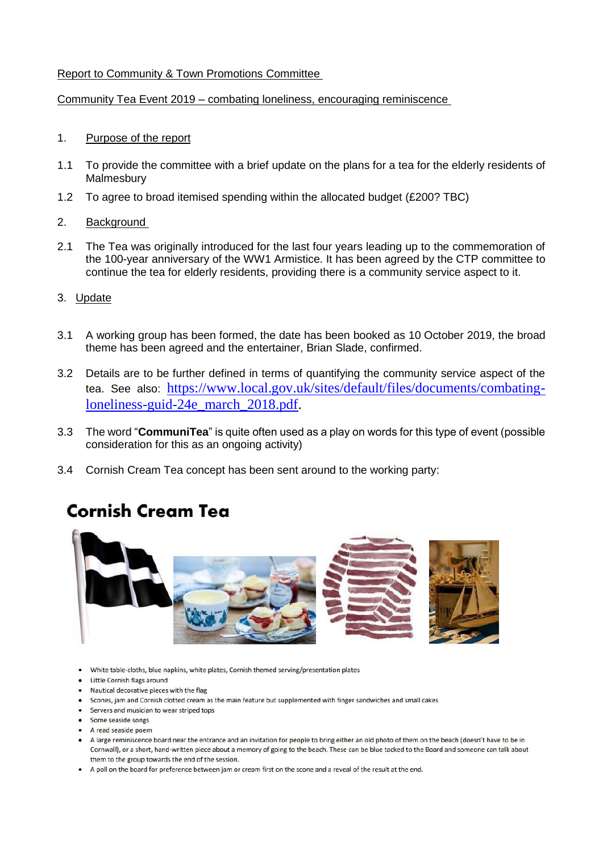## Report to Community & Town Promotions Committee

### Community Tea Event 2019 – combating loneliness, encouraging reminiscence

### 1. Purpose of the report

- 1.1 To provide the committee with a brief update on the plans for a tea for the elderly residents of **Malmesbury**
- 1.2 To agree to broad itemised spending within the allocated budget (£200? TBC)

#### 2. Background

- 2.1 The Tea was originally introduced for the last four years leading up to the commemoration of the 100-year anniversary of the WW1 Armistice. It has been agreed by the CTP committee to continue the tea for elderly residents, providing there is a community service aspect to it.
- 3. Update
- 3.1 A working group has been formed, the date has been booked as 10 October 2019, the broad theme has been agreed and the entertainer, Brian Slade, confirmed.
- 3.2 Details are to be further defined in terms of quantifying the community service aspect of the tea. See also: [https://www.local.gov.uk/sites/default/files/documents/combating](https://www.local.gov.uk/sites/default/files/documents/combating-loneliness-guid-24e_march_2018.pdf)[loneliness-guid-24e\\_march\\_2018.pdf.](https://www.local.gov.uk/sites/default/files/documents/combating-loneliness-guid-24e_march_2018.pdf)
- 3.3 The word "**CommuniTea**" is quite often used as a play on words for this type of event (possible consideration for this as an ongoing activity)
- 3.4 Cornish Cream Tea concept has been sent around to the working party:

# **Cornish Cream Tea**



- White table-cloths, blue napkins, white plates, Cornish themed serving/presentation plates
- Little Cornish flags around
- . Nautical decorative pieces with the flag
- Scones, jam and Cornish clotted cream as the main feature but supplemented with finger sandwiches and small cakes
- Servers and musician to wear striped tops
- Some seaside songs
- A read seaside poem
- . A large reminiscence board near the entrance and an invitation for people to bring either an old photo of them on the beach (doesn't have to be in Cornwall), or a short, hand-written piece about a memory of going to the beach. These can be blue tacked to the Board and someone can talk about them to the group towards the end of the session.
- . A poll on the board for preference between jam or cream first on the scone and a reveal of the result at the end.